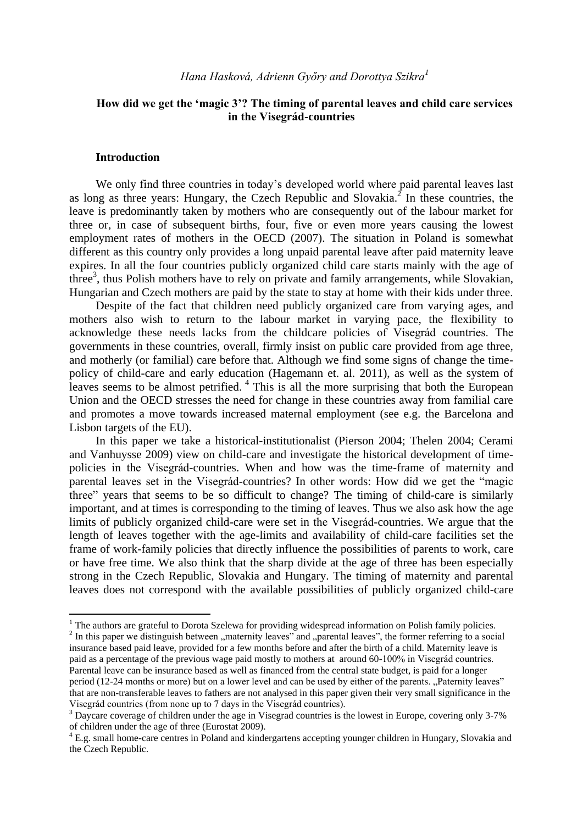# **How did we get the 'magic 3'? The timing of parental leaves and child care services in the Visegrád-countries**

## **Introduction**

1

We only find three countries in today's developed world where paid parental leaves last as long as three years: Hungary, the Czech Republic and Slovakia.<sup>2</sup> In these countries, the leave is predominantly taken by mothers who are consequently out of the labour market for three or, in case of subsequent births, four, five or even more years causing the lowest employment rates of mothers in the OECD (2007). The situation in Poland is somewhat different as this country only provides a long unpaid parental leave after paid maternity leave expires. In all the four countries publicly organized child care starts mainly with the age of three<sup>3</sup>, thus Polish mothers have to rely on private and family arrangements, while Slovakian, Hungarian and Czech mothers are paid by the state to stay at home with their kids under three.

Despite of the fact that children need publicly organized care from varying ages, and mothers also wish to return to the labour market in varying pace, the flexibility to acknowledge these needs lacks from the childcare policies of Visegrád countries. The governments in these countries, overall, firmly insist on public care provided from age three, and motherly (or familial) care before that. Although we find some signs of change the timepolicy of child-care and early education (Hagemann et. al. 2011), as well as the system of leaves seems to be almost petrified.<sup>4</sup> This is all the more surprising that both the European Union and the OECD stresses the need for change in these countries away from familial care and promotes a move towards increased maternal employment (see e.g. the Barcelona and Lisbon targets of the EU).

In this paper we take a historical-institutionalist (Pierson 2004; Thelen 2004; Cerami and Vanhuysse 2009) view on child-care and investigate the historical development of timepolicies in the Visegrád-countries. When and how was the time-frame of maternity and parental leaves set in the Visegrád-countries? In other words: How did we get the "magic three" years that seems to be so difficult to change? The timing of child-care is similarly important, and at times is corresponding to the timing of leaves. Thus we also ask how the age limits of publicly organized child-care were set in the Visegrád-countries. We argue that the length of leaves together with the age-limits and availability of child-care facilities set the frame of work-family policies that directly influence the possibilities of parents to work, care or have free time. We also think that the sharp divide at the age of three has been especially strong in the Czech Republic, Slovakia and Hungary. The timing of maternity and parental leaves does not correspond with the available possibilities of publicly organized child-care

<sup>&</sup>lt;sup>1</sup> The authors are grateful to Dorota Szelewa for providing widespread information on Polish family policies.

 $2$  In this paper we distinguish between "maternity leaves" and "parental leaves", the former referring to a social insurance based paid leave, provided for a few months before and after the birth of a child. Maternity leave is paid as a percentage of the previous wage paid mostly to mothers at around 60-100% in Visegrád countries. Parental leave can be insurance based as well as financed from the central state budget, is paid for a longer period (12-24 months or more) but on a lower level and can be used by either of the parents. "Paternity leaves" that are non-transferable leaves to fathers are not analysed in this paper given their very small significance in the Visegrád countries (from none up to 7 days in the Visegrád countries).

<sup>&</sup>lt;sup>3</sup> Daycare coverage of children under the age in Visegrad countries is the lowest in Europe, covering only 3-7% of children under the age of three (Eurostat 2009).

<sup>4</sup> E.g. small home-care centres in Poland and kindergartens accepting younger children in Hungary, Slovakia and the Czech Republic.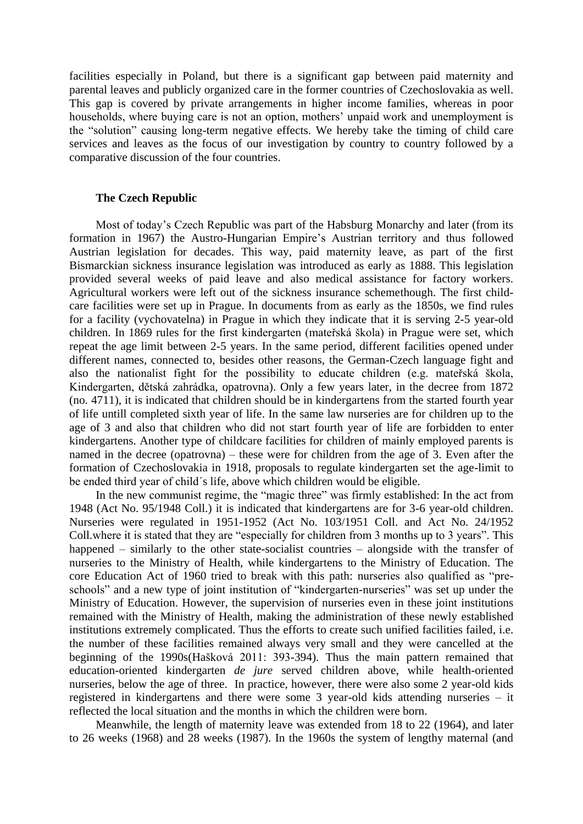facilities especially in Poland, but there is a significant gap between paid maternity and parental leaves and publicly organized care in the former countries of Czechoslovakia as well. This gap is covered by private arrangements in higher income families, whereas in poor households, where buying care is not an option, mothers' unpaid work and unemployment is the "solution" causing long-term negative effects. We hereby take the timing of child care services and leaves as the focus of our investigation by country to country followed by a comparative discussion of the four countries.

### **The Czech Republic**

Most of today's Czech Republic was part of the Habsburg Monarchy and later (from its formation in 1967) the Austro-Hungarian Empire's Austrian territory and thus followed Austrian legislation for decades. This way, paid maternity leave, as part of the first Bismarckian sickness insurance legislation was introduced as early as 1888. This legislation provided several weeks of paid leave and also medical assistance for factory workers. Agricultural workers were left out of the sickness insurance schemethough. The first childcare facilities were set up in Prague. In documents from as early as the 1850s, we find rules for a facility (vychovatelna) in Prague in which they indicate that it is serving 2-5 year-old children. In 1869 rules for the first kindergarten (mateřská škola) in Prague were set, which repeat the age limit between 2-5 years. In the same period, different facilities opened under different names, connected to, besides other reasons, the German-Czech language fight and also the nationalist fight for the possibility to educate children (e.g. mateřská škola, Kindergarten, dětská zahrádka, opatrovna). Only a few years later, in the decree from 1872 (no. 4711), it is indicated that children should be in kindergartens from the started fourth year of life untill completed sixth year of life. In the same law nurseries are for children up to the age of 3 and also that children who did not start fourth year of life are forbidden to enter kindergartens. Another type of childcare facilities for children of mainly employed parents is named in the decree (opatrovna) – these were for children from the age of 3. Even after the formation of Czechoslovakia in 1918, proposals to regulate kindergarten set the age-limit to be ended third year of child´s life, above which children would be eligible.

In the new communist regime, the "magic three" was firmly established: In the act from 1948 (Act No. 95/1948 Coll.) it is indicated that kindergartens are for 3-6 year-old children. Nurseries were regulated in 1951-1952 (Act No. 103/1951 Coll. and Act No. 24/1952 Coll.where it is stated that they are "especially for children from 3 months up to 3 years". This happened – similarly to the other state-socialist countries – alongside with the transfer of nurseries to the Ministry of Health, while kindergartens to the Ministry of Education. The core Education Act of 1960 tried to break with this path: nurseries also qualified as "preschools" and a new type of joint institution of "kindergarten-nurseries" was set up under the Ministry of Education. However, the supervision of nurseries even in these joint institutions remained with the Ministry of Health, making the administration of these newly established institutions extremely complicated. Thus the efforts to create such unified facilities failed, i.e. the number of these facilities remained always very small and they were cancelled at the beginning of the 1990s(Hašková 2011: 393-394). Thus the main pattern remained that education-oriented kindergarten *de jure* served children above, while health-oriented nurseries, below the age of three. In practice, however, there were also some 2 year-old kids registered in kindergartens and there were some 3 year-old kids attending nurseries – it reflected the local situation and the months in which the children were born.

Meanwhile, the length of maternity leave was extended from 18 to 22 (1964), and later to 26 weeks (1968) and 28 weeks (1987). In the 1960s the system of lengthy maternal (and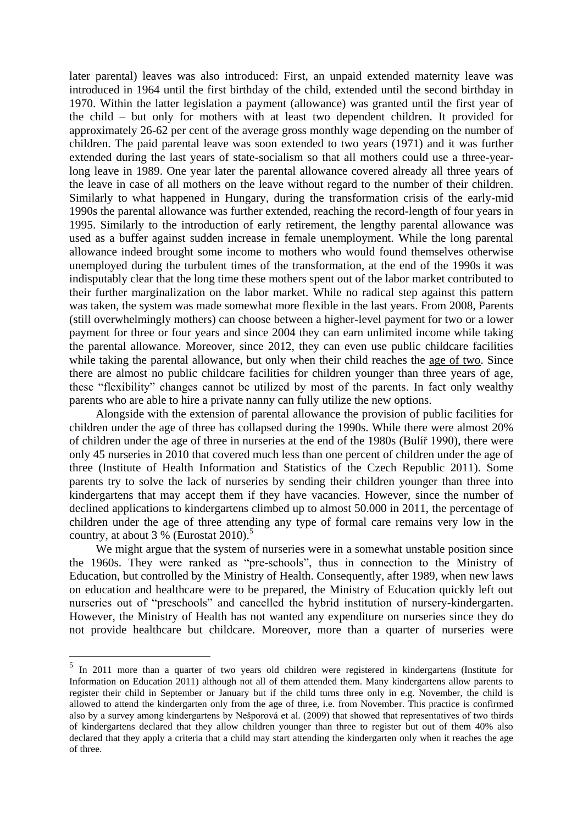later parental) leaves was also introduced: First, an unpaid extended maternity leave was introduced in 1964 until the first birthday of the child, extended until the second birthday in 1970. Within the latter legislation a payment (allowance) was granted until the first year of the child – but only for mothers with at least two dependent children. It provided for approximately 26-62 per cent of the average gross monthly wage depending on the number of children. The paid parental leave was soon extended to two years (1971) and it was further extended during the last years of state-socialism so that all mothers could use a three-yearlong leave in 1989. One year later the parental allowance covered already all three years of the leave in case of all mothers on the leave without regard to the number of their children. Similarly to what happened in Hungary, during the transformation crisis of the early-mid 1990s the parental allowance was further extended, reaching the record-length of four years in 1995. Similarly to the introduction of early retirement, the lengthy parental allowance was used as a buffer against sudden increase in female unemployment. While the long parental allowance indeed brought some income to mothers who would found themselves otherwise unemployed during the turbulent times of the transformation, at the end of the 1990s it was indisputably clear that the long time these mothers spent out of the labor market contributed to their further marginalization on the labor market. While no radical step against this pattern was taken, the system was made somewhat more flexible in the last years. From 2008, Parents (still overwhelmingly mothers) can choose between a higher-level payment for two or a lower payment for three or four years and since 2004 they can earn unlimited income while taking the parental allowance. Moreover, since 2012, they can even use public childcare facilities while taking the parental allowance, but only when their child reaches the age of two. Since there are almost no public childcare facilities for children younger than three years of age, these "flexibility" changes cannot be utilized by most of the parents. In fact only wealthy parents who are able to hire a private nanny can fully utilize the new options.

Alongside with the extension of parental allowance the provision of public facilities for children under the age of three has collapsed during the 1990s. While there were almost 20% of children under the age of three in nurseries at the end of the 1980s (Bulíř 1990), there were only 45 nurseries in 2010 that covered much less than one percent of children under the age of three (Institute of Health Information and Statistics of the Czech Republic 2011). Some parents try to solve the lack of nurseries by sending their children younger than three into kindergartens that may accept them if they have vacancies. However, since the number of declined applications to kindergartens climbed up to almost 50.000 in 2011, the percentage of children under the age of three attending any type of formal care remains very low in the country, at about  $3\%$  (Eurostat 2010).<sup>5</sup>

We might argue that the system of nurseries were in a somewhat unstable position since the 1960s. They were ranked as "pre-schools", thus in connection to the Ministry of Education, but controlled by the Ministry of Health. Consequently, after 1989, when new laws on education and healthcare were to be prepared, the Ministry of Education quickly left out nurseries out of "preschools" and cancelled the hybrid institution of nursery-kindergarten. However, the Ministry of Health has not wanted any expenditure on nurseries since they do not provide healthcare but childcare. Moreover, more than a quarter of nurseries were

1

<sup>&</sup>lt;sup>5</sup> In 2011 more than a quarter of two years old children were registered in kindergartens (Institute for Information on Education 2011) although not all of them attended them. Many kindergartens allow parents to register their child in September or January but if the child turns three only in e.g. November, the child is allowed to attend the kindergarten only from the age of three, i.e. from November. This practice is confirmed also by a survey among kindergartens by Nešporová et al. (2009) that showed that representatives of two thirds of kindergartens declared that they allow children younger than three to register but out of them 40% also declared that they apply a criteria that a child may start attending the kindergarten only when it reaches the age of three.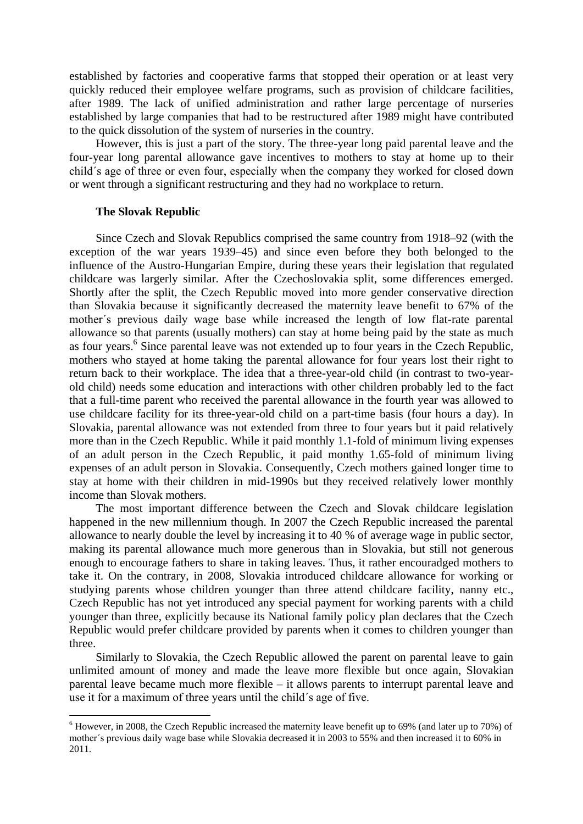established by factories and cooperative farms that stopped their operation or at least very quickly reduced their employee welfare programs, such as provision of childcare facilities, after 1989. The lack of unified administration and rather large percentage of nurseries established by large companies that had to be restructured after 1989 might have contributed to the quick dissolution of the system of nurseries in the country.

However, this is just a part of the story. The three-year long paid parental leave and the four-year long parental allowance gave incentives to mothers to stay at home up to their child´s age of three or even four, especially when the company they worked for closed down or went through a significant restructuring and they had no workplace to return.

#### **The Slovak Republic**

<u>.</u>

Since Czech and Slovak Republics comprised the same country from 1918–92 (with the exception of the war years 1939–45) and since even before they both belonged to the influence of the Austro-Hungarian Empire, during these years their legislation that regulated childcare was largerly similar. After the Czechoslovakia split, some differences emerged. Shortly after the split, the Czech Republic moved into more gender conservative direction than Slovakia because it significantly decreased the maternity leave benefit to 67% of the mother´s previous daily wage base while increased the length of low flat-rate parental allowance so that parents (usually mothers) can stay at home being paid by the state as much as four years. 6 Since parental leave was not extended up to four years in the Czech Republic, mothers who stayed at home taking the parental allowance for four years lost their right to return back to their workplace. The idea that a three-year-old child (in contrast to two-yearold child) needs some education and interactions with other children probably led to the fact that a full-time parent who received the parental allowance in the fourth year was allowed to use childcare facility for its three-year-old child on a part-time basis (four hours a day). In Slovakia, parental allowance was not extended from three to four years but it paid relatively more than in the Czech Republic. While it paid monthly 1.1-fold of minimum living expenses of an adult person in the Czech Republic, it paid monthy 1.65-fold of minimum living expenses of an adult person in Slovakia. Consequently, Czech mothers gained longer time to stay at home with their children in mid-1990s but they received relatively lower monthly income than Slovak mothers.

The most important difference between the Czech and Slovak childcare legislation happened in the new millennium though. In 2007 the Czech Republic increased the parental allowance to nearly double the level by increasing it to 40 % of average wage in public sector, making its parental allowance much more generous than in Slovakia, but still not generous enough to encourage fathers to share in taking leaves. Thus, it rather encouradged mothers to take it. On the contrary, in 2008, Slovakia introduced childcare allowance for working or studying parents whose children younger than three attend childcare facility, nanny etc., Czech Republic has not yet introduced any special payment for working parents with a child younger than three, explicitly because its National family policy plan declares that the Czech Republic would prefer childcare provided by parents when it comes to children younger than three.

Similarly to Slovakia, the Czech Republic allowed the parent on parental leave to gain unlimited amount of money and made the leave more flexible but once again, Slovakian parental leave became much more flexible – it allows parents to interrupt parental leave and use it for a maximum of three years until the child´s age of five.

<sup>&</sup>lt;sup>6</sup> However, in 2008, the Czech Republic increased the maternity leave benefit up to 69% (and later up to 70%) of mother´s previous daily wage base while Slovakia decreased it in 2003 to 55% and then increased it to 60% in 2011.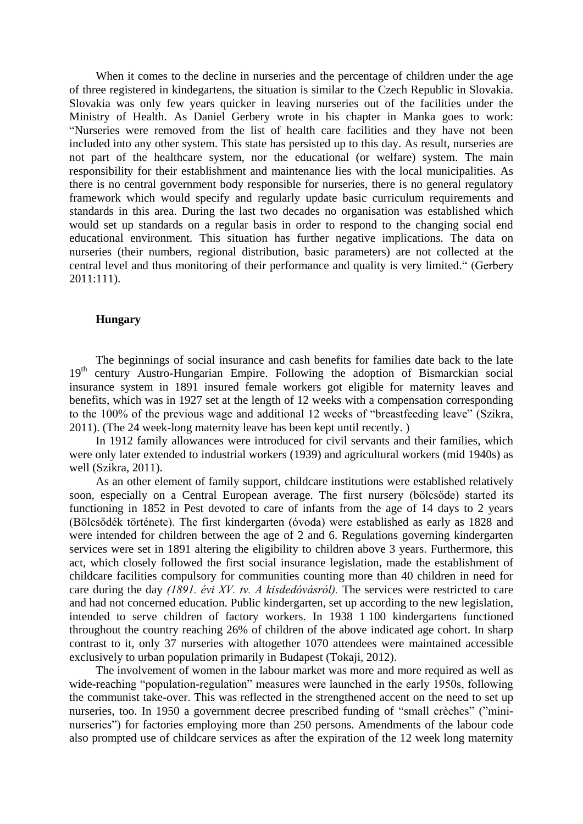When it comes to the decline in nurseries and the percentage of children under the age of three registered in kindegartens, the situation is similar to the Czech Republic in Slovakia. Slovakia was only few years quicker in leaving nurseries out of the facilities under the Ministry of Health. As Daniel Gerbery wrote in his chapter in Manka goes to work: "Nurseries were removed from the list of health care facilities and they have not been included into any other system. This state has persisted up to this day. As result, nurseries are not part of the healthcare system, nor the educational (or welfare) system. The main responsibility for their establishment and maintenance lies with the local municipalities. As there is no central government body responsible for nurseries, there is no general regulatory framework which would specify and regularly update basic curriculum requirements and standards in this area. During the last two decades no organisation was established which would set up standards on a regular basis in order to respond to the changing social end educational environment. This situation has further negative implications. The data on nurseries (their numbers, regional distribution, basic parameters) are not collected at the central level and thus monitoring of their performance and quality is very limited." (Gerbery 2011:111).

### **Hungary**

The beginnings of social insurance and cash benefits for families date back to the late 19<sup>th</sup> century Austro-Hungarian Empire. Following the adoption of Bismarckian social insurance system in 1891 insured female workers got eligible for maternity leaves and benefits, which was in 1927 set at the length of 12 weeks with a compensation corresponding to the 100% of the previous wage and additional 12 weeks of "breastfeeding leave" (Szikra, 2011). (The 24 week-long maternity leave has been kept until recently. )

In 1912 family allowances were introduced for civil servants and their families, which were only later extended to industrial workers (1939) and agricultural workers (mid 1940s) as well (Szikra, 2011).

As an other element of family support, childcare institutions were established relatively soon, especially on a Central European average. The first nursery (bölcsőde) started its functioning in 1852 in Pest devoted to care of infants from the age of 14 days to 2 years (Bölcsődék története). The first kindergarten (óvoda) were established as early as 1828 and were intended for children between the age of 2 and 6. Regulations governing kindergarten services were set in 1891 altering the eligibility to children above 3 years. Furthermore, this act, which closely followed the first social insurance legislation, made the establishment of childcare facilities compulsory for communities counting more than 40 children in need for care during the day *(1891. évi XV. tv. A kisdedóvásról).* The services were restricted to care and had not concerned education. Public kindergarten, set up according to the new legislation, intended to serve children of factory workers. In 1938 1 100 kindergartens functioned throughout the country reaching 26% of children of the above indicated age cohort. In sharp contrast to it, only 37 nurseries with altogether 1070 attendees were maintained accessible exclusively to urban population primarily in Budapest (Tokaji, 2012).

The involvement of women in the labour market was more and more required as well as wide-reaching "population-regulation" measures were launched in the early 1950s, following the communist take-over. This was reflected in the strengthened accent on the need to set up nurseries, too. In 1950 a government decree prescribed funding of "small crèches" ("mininurseries") for factories employing more than 250 persons. Amendments of the labour code also prompted use of childcare services as after the expiration of the 12 week long maternity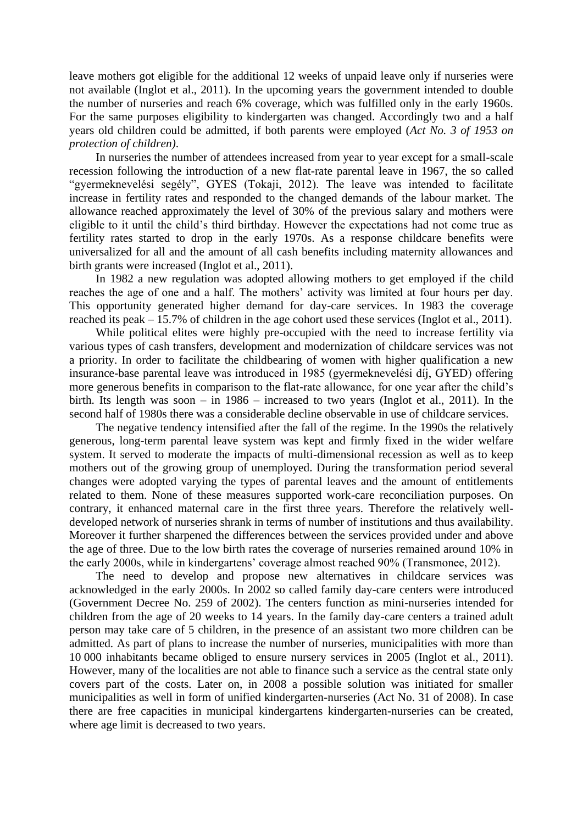leave mothers got eligible for the additional 12 weeks of unpaid leave only if nurseries were not available (Inglot et al., 2011). In the upcoming years the government intended to double the number of nurseries and reach 6% coverage, which was fulfilled only in the early 1960s. For the same purposes eligibility to kindergarten was changed. Accordingly two and a half years old children could be admitted, if both parents were employed (*Act No. 3 of 1953 on protection of children)*.

In nurseries the number of attendees increased from year to year except for a small-scale recession following the introduction of a new flat-rate parental leave in 1967, the so called "gyermeknevelési segély", GYES (Tokaji, 2012). The leave was intended to facilitate increase in fertility rates and responded to the changed demands of the labour market. The allowance reached approximately the level of 30% of the previous salary and mothers were eligible to it until the child's third birthday. However the expectations had not come true as fertility rates started to drop in the early 1970s. As a response childcare benefits were universalized for all and the amount of all cash benefits including maternity allowances and birth grants were increased (Inglot et al., 2011).

In 1982 a new regulation was adopted allowing mothers to get employed if the child reaches the age of one and a half. The mothers' activity was limited at four hours per day. This opportunity generated higher demand for day-care services. In 1983 the coverage reached its peak – 15.7% of children in the age cohort used these services (Inglot et al., 2011).

While political elites were highly pre-occupied with the need to increase fertility via various types of cash transfers, development and modernization of childcare services was not a priority. In order to facilitate the childbearing of women with higher qualification a new insurance-base parental leave was introduced in 1985 (gyermeknevelési díj, GYED) offering more generous benefits in comparison to the flat-rate allowance, for one year after the child's birth. Its length was soon – in 1986 – increased to two years (Inglot et al., 2011). In the second half of 1980s there was a considerable decline observable in use of childcare services.

The negative tendency intensified after the fall of the regime. In the 1990s the relatively generous, long-term parental leave system was kept and firmly fixed in the wider welfare system. It served to moderate the impacts of multi-dimensional recession as well as to keep mothers out of the growing group of unemployed. During the transformation period several changes were adopted varying the types of parental leaves and the amount of entitlements related to them. None of these measures supported work-care reconciliation purposes. On contrary, it enhanced maternal care in the first three years. Therefore the relatively welldeveloped network of nurseries shrank in terms of number of institutions and thus availability. Moreover it further sharpened the differences between the services provided under and above the age of three. Due to the low birth rates the coverage of nurseries remained around 10% in the early 2000s, while in kindergartens' coverage almost reached 90% (Transmonee, 2012).

The need to develop and propose new alternatives in childcare services was acknowledged in the early 2000s. In 2002 so called family day-care centers were introduced (Government Decree No. 259 of 2002). The centers function as mini-nurseries intended for children from the age of 20 weeks to 14 years. In the family day-care centers a trained adult person may take care of 5 children, in the presence of an assistant two more children can be admitted. As part of plans to increase the number of nurseries, municipalities with more than 10 000 inhabitants became obliged to ensure nursery services in 2005 (Inglot et al., 2011). However, many of the localities are not able to finance such a service as the central state only covers part of the costs. Later on, in 2008 a possible solution was initiated for smaller municipalities as well in form of unified kindergarten-nurseries (Act No. 31 of 2008). In case there are free capacities in municipal kindergartens kindergarten-nurseries can be created, where age limit is decreased to two years.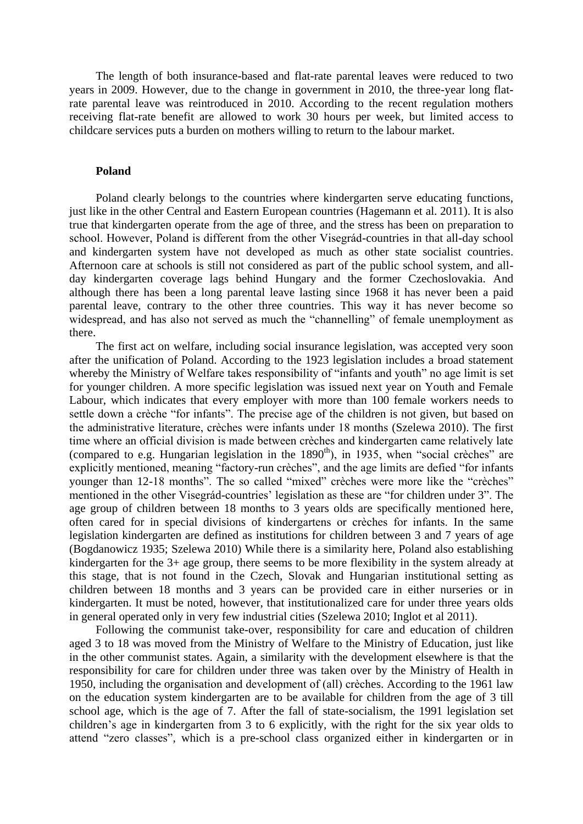The length of both insurance-based and flat-rate parental leaves were reduced to two years in 2009. However, due to the change in government in 2010, the three-year long flatrate parental leave was reintroduced in 2010. According to the recent regulation mothers receiving flat-rate benefit are allowed to work 30 hours per week, but limited access to childcare services puts a burden on mothers willing to return to the labour market.

#### **Poland**

Poland clearly belongs to the countries where kindergarten serve educating functions, just like in the other Central and Eastern European countries (Hagemann et al. 2011). It is also true that kindergarten operate from the age of three, and the stress has been on preparation to school. However, Poland is different from the other Visegrád-countries in that all-day school and kindergarten system have not developed as much as other state socialist countries. Afternoon care at schools is still not considered as part of the public school system, and allday kindergarten coverage lags behind Hungary and the former Czechoslovakia. And although there has been a long parental leave lasting since 1968 it has never been a paid parental leave, contrary to the other three countries. This way it has never become so widespread, and has also not served as much the "channelling" of female unemployment as there.

The first act on welfare, including social insurance legislation, was accepted very soon after the unification of Poland. According to the 1923 legislation includes a broad statement whereby the Ministry of Welfare takes responsibility of "infants and youth" no age limit is set for younger children. A more specific legislation was issued next year on Youth and Female Labour, which indicates that every employer with more than 100 female workers needs to settle down a crèche "for infants". The precise age of the children is not given, but based on the administrative literature, crèches were infants under 18 months (Szelewa 2010). The first time where an official division is made between crèches and kindergarten came relatively late (compared to e.g. Hungarian legislation in the  $1890<sup>th</sup>$ ), in 1935, when "social crèches" are explicitly mentioned, meaning "factory-run crèches", and the age limits are defied "for infants younger than 12-18 months". The so called "mixed" crèches were more like the "crèches" mentioned in the other Visegrád-countries' legislation as these are "for children under 3". The age group of children between 18 months to 3 years olds are specifically mentioned here, often cared for in special divisions of kindergartens or crèches for infants. In the same legislation kindergarten are defined as institutions for children between 3 and 7 years of age (Bogdanowicz 1935; Szelewa 2010) While there is a similarity here, Poland also establishing kindergarten for the 3+ age group, there seems to be more flexibility in the system already at this stage, that is not found in the Czech, Slovak and Hungarian institutional setting as children between 18 months and 3 years can be provided care in either nurseries or in kindergarten. It must be noted, however, that institutionalized care for under three years olds in general operated only in very few industrial cities (Szelewa 2010; Inglot et al 2011).

Following the communist take-over, responsibility for care and education of children aged 3 to 18 was moved from the Ministry of Welfare to the Ministry of Education, just like in the other communist states. Again, a similarity with the development elsewhere is that the responsibility for care for children under three was taken over by the Ministry of Health in 1950, including the organisation and development of (all) crèches. According to the 1961 law on the education system kindergarten are to be available for children from the age of 3 till school age, which is the age of 7. After the fall of state-socialism, the 1991 legislation set children's age in kindergarten from 3 to 6 explicitly, with the right for the six year olds to attend "zero classes", which is a pre-school class organized either in kindergarten or in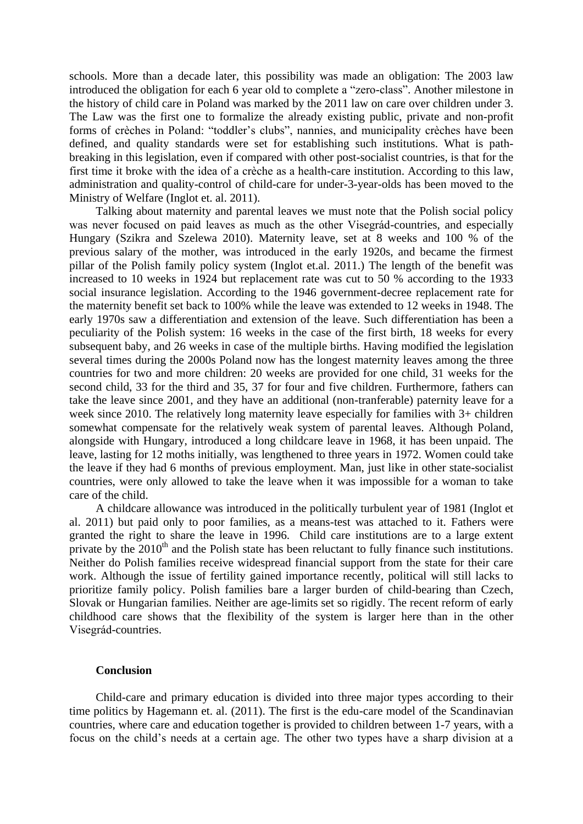schools. More than a decade later, this possibility was made an obligation: The 2003 law introduced the obligation for each 6 year old to complete a "zero-class". Another milestone in the history of child care in Poland was marked by the 2011 law on care over children under 3. The Law was the first one to formalize the already existing public, private and non-profit forms of crèches in Poland: "toddler's clubs", nannies, and municipality crèches have been defined, and quality standards were set for establishing such institutions. What is pathbreaking in this legislation, even if compared with other post-socialist countries, is that for the first time it broke with the idea of a crèche as a health-care institution. According to this law, administration and quality-control of child-care for under-3-year-olds has been moved to the Ministry of Welfare (Inglot et. al. 2011).

Talking about maternity and parental leaves we must note that the Polish social policy was never focused on paid leaves as much as the other Visegrád-countries, and especially Hungary (Szikra and Szelewa 2010). Maternity leave, set at 8 weeks and 100 % of the previous salary of the mother, was introduced in the early 1920s, and became the firmest pillar of the Polish family policy system (Inglot et.al. 2011.) The length of the benefit was increased to 10 weeks in 1924 but replacement rate was cut to 50 % according to the 1933 social insurance legislation. According to the 1946 government-decree replacement rate for the maternity benefit set back to 100% while the leave was extended to 12 weeks in 1948. The early 1970s saw a differentiation and extension of the leave. Such differentiation has been a peculiarity of the Polish system: 16 weeks in the case of the first birth, 18 weeks for every subsequent baby, and 26 weeks in case of the multiple births. Having modified the legislation several times during the 2000s Poland now has the longest maternity leaves among the three countries for two and more children: 20 weeks are provided for one child, 31 weeks for the second child, 33 for the third and 35, 37 for four and five children. Furthermore, fathers can take the leave since 2001, and they have an additional (non-tranferable) paternity leave for a week since 2010. The relatively long maternity leave especially for families with 3+ children somewhat compensate for the relatively weak system of parental leaves. Although Poland, alongside with Hungary, introduced a long childcare leave in 1968, it has been unpaid. The leave, lasting for 12 moths initially, was lengthened to three years in 1972. Women could take the leave if they had 6 months of previous employment. Man, just like in other state-socialist countries, were only allowed to take the leave when it was impossible for a woman to take care of the child.

A childcare allowance was introduced in the politically turbulent year of 1981 (Inglot et al. 2011) but paid only to poor families, as a means-test was attached to it. Fathers were granted the right to share the leave in 1996. Child care institutions are to a large extent private by the  $2010<sup>th</sup>$  and the Polish state has been reluctant to fully finance such institutions. Neither do Polish families receive widespread financial support from the state for their care work. Although the issue of fertility gained importance recently, political will still lacks to prioritize family policy. Polish families bare a larger burden of child-bearing than Czech, Slovak or Hungarian families. Neither are age-limits set so rigidly. The recent reform of early childhood care shows that the flexibility of the system is larger here than in the other Visegrád-countries.

#### **Conclusion**

Child-care and primary education is divided into three major types according to their time politics by Hagemann et. al. (2011). The first is the edu-care model of the Scandinavian countries, where care and education together is provided to children between 1-7 years, with a focus on the child's needs at a certain age. The other two types have a sharp division at a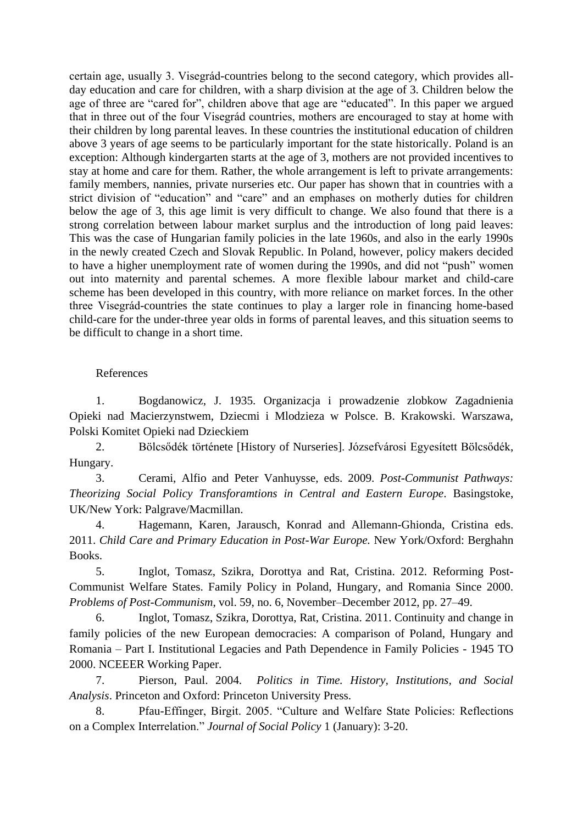certain age, usually 3. Visegrád-countries belong to the second category, which provides allday education and care for children, with a sharp division at the age of 3. Children below the age of three are "cared for", children above that age are "educated". In this paper we argued that in three out of the four Visegrád countries, mothers are encouraged to stay at home with their children by long parental leaves. In these countries the institutional education of children above 3 years of age seems to be particularly important for the state historically. Poland is an exception: Although kindergarten starts at the age of 3, mothers are not provided incentives to stay at home and care for them. Rather, the whole arrangement is left to private arrangements: family members, nannies, private nurseries etc. Our paper has shown that in countries with a strict division of "education" and "care" and an emphases on motherly duties for children below the age of 3, this age limit is very difficult to change. We also found that there is a strong correlation between labour market surplus and the introduction of long paid leaves: This was the case of Hungarian family policies in the late 1960s, and also in the early 1990s in the newly created Czech and Slovak Republic. In Poland, however, policy makers decided to have a higher unemployment rate of women during the 1990s, and did not "push" women out into maternity and parental schemes. A more flexible labour market and child-care scheme has been developed in this country, with more reliance on market forces. In the other three Visegrád-countries the state continues to play a larger role in financing home-based child-care for the under-three year olds in forms of parental leaves, and this situation seems to be difficult to change in a short time.

# References

1. Bogdanowicz, J. 1935. Organizacja i prowadzenie zlobkow Zagadnienia Opieki nad Macierzynstwem, Dziecmi i Mlodzieza w Polsce. B. Krakowski. Warszawa, Polski Komitet Opieki nad Dzieckiem

2. Bölcsődék története [History of Nurseries]. Józsefvárosi Egyesített Bölcsődék, Hungary.

3. Cerami, Alfio and Peter Vanhuysse, eds. 2009. *Post-Communist Pathways: Theorizing Social Policy Transforamtions in Central and Eastern Europe*. Basingstoke, UK/New York: Palgrave/Macmillan.

4. Hagemann, Karen, Jarausch, Konrad and Allemann-Ghionda, Cristina eds. 2011. *Child Care and Primary Education in Post-War Europe.* New York/Oxford: Berghahn Books.

5. Inglot, Tomasz, Szikra, Dorottya and Rat, Cristina. 2012. Reforming Post-Communist Welfare States. Family Policy in Poland, Hungary, and Romania Since 2000. *Problems of Post-Communism*, vol. 59, no. 6, November–December 2012, pp. 27–49.

6. Inglot, Tomasz, Szikra, Dorottya, Rat, Cristina. 2011. Continuity and change in family policies of the new European democracies: A comparison of Poland, Hungary and Romania – Part I. Institutional Legacies and Path Dependence in Family Policies - 1945 TO 2000. NCEEER Working Paper.

7. Pierson, Paul. 2004. *Politics in Time. History, Institutions, and Social Analysis*. Princeton and Oxford: Princeton University Press.

8. Pfau-Effinger, Birgit. 2005. "Culture and Welfare State Policies: Reflections on a Complex Interrelation." *Journal of Social Policy* 1 (January): 3-20.